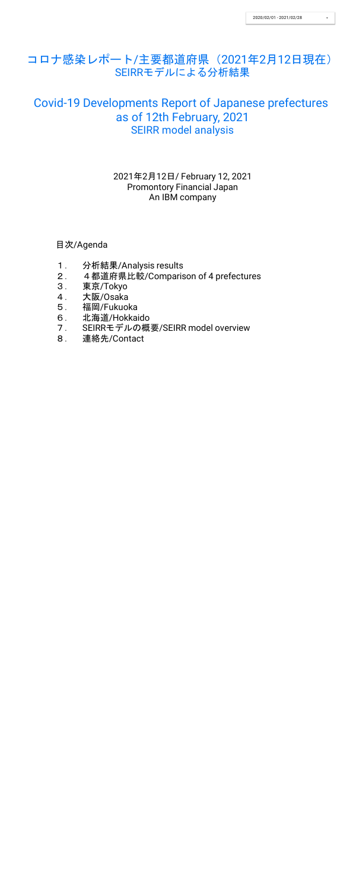目次/Agenda

- 1. 分析結果/Analysis results
- 2. 4都道府県比較/Comparison of 4 prefectures
- 3. 東京/Tokyo
- 4. 大阪/Osaka
- 5. 福岡/Fukuoka
- 6. 北海道/Hokkaido
- 7. SEIRRモデルの概要/SEIRR model overview
- 8. 連絡先/Contact

2021年2月12日/ February 12, 2021 Promontory Financial Japan An IBM company

# コロナ感染レポート/主要都道府県(2021年2月12日現在) SEIRRモデルによる分析結果

# Covid-19 Developments Report of Japanese prefectures as of 12th February, 2021 SEIRR model analysis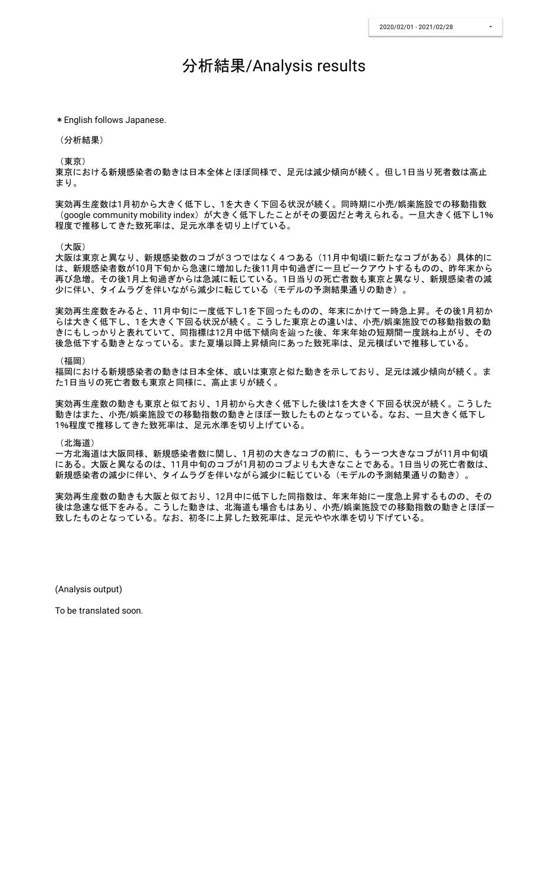## 分析結果/Analysis results

\*English follows Japanese.

(分析結果)

(東京)

東京における新規感染者の動きは日本全体とほぼ同様で、足元は減少傾向が続く。但し1日当り死者数は高止 まり。

実効再生産数は1月初から大きく低下し、1を大きく下回る状況が続く。同時期に小売/娯楽施設での移動指数 (google community mobility index) が大きく低下したことがその要因だと考えられる。一旦大きく低下し1% 程度で推移してきた致死率は、足元水準を切り上げている。

(大阪)

大阪は東京と異なり、新規感染数のコブが3つではなく4つある(11月中旬頃に新たなコブがある)具体的に は、新規感染者数が10月下旬から急速に増加した後11月中旬過ぎに一旦ピークアウトするものの、昨年末から 再び急増。その後1月上旬過ぎからは急減に転じている。1日当りの死亡者数も東京と異なり、新規感染者の減 少に伴い、タイムラグを伴いながら減少に転じている(モデルの予測結果通りの動き)。

一方北海道は大阪同様、新規感染者数に関し、1月初の大きなコブの前に、もう一つ大きなコブが11月中旬頃 にある。大阪と異なるのは、11月中旬のコブが1月初のコブよりも大きなことである。1日当りの死亡者数は、 新規感染者の減少に伴い、タイムラグを伴いながら減少に転じている(モデルの予測結果通りの動き)。

実効再生産数をみると、11月中旬に一度低下し1を下回ったものの、年末にかけて一時急上昇。その後1月初か らは大きく低下し、1を大きく下回る状況が続く。こうした東京との違いは、小売/娯楽施設での移動指数の動 きにもしっかりと表れていて、同指標は12月中低下傾向を辿った後、年末年始の短期間一度跳ね上がり、その 後急低下する動きとなっている。また夏場以降上昇傾向にあった致死率は、足元横ばいで推移している。

(福岡)

福岡における新規感染者の動きは日本全体、或いは東京と似た動きを示しており、足元は減少傾向が続く。ま た1日当りの死亡者数も東京と同様に、高止まりが続く。

実効再生産数の動きも東京と似ており、1月初から大きく低下した後は1を大きく下回る状況が続く。こうした 動きはまた、小売/娯楽施設での移動指数の動きとほぼ一致したものとなっている。なお、一旦大きく低下し 1%程度で推移してきた致死率は、足元水準を切り上げている。

(北海道)

実効再生産数の動きも大阪と似ており、12月中に低下した同指数は、年末年始に一度急上昇するものの、その 後は急速な低下をみる。こうした動きは、北海道も場合もはあり、小売/娯楽施設での移動指数の動きとほぼ一 致したものとなっている。なお、初冬に上昇した致死率は、足元やや水準を切り下げている。

(Analysis output)

To be translated soon.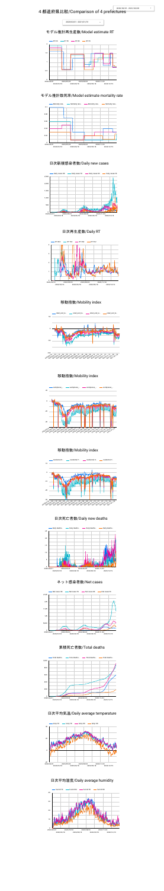## 4都道府県比較/Comparison of 4 prefectures







#### 日次新規感染者数/Daily new cases

#### 日次再生産数/Daily RT

#### 移動指数/Mobility index



日次死亡者数/Daily new deaths









#### 累積死亡者数/Total deaths



#### 日次平均気温/Daily average temperature



#### 日次平均湿度/Daily average humidity



#### モデル推計再生産数/Model estimate RT



#### モデル推計致死率/Model estimate mortality rate



#### 移動指数/Mobility index



#### 移動指数/Mobility index

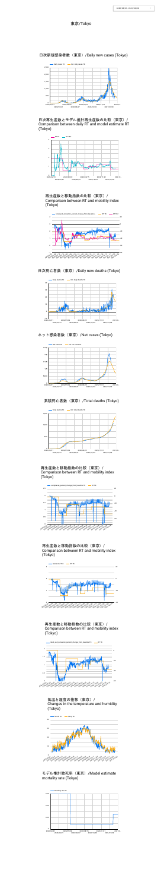



日次再生産数とモデル推計再生産数の比較(東京)/ Comparison between daily RT and model estimate RT (Tokyo)





日次死亡者数(東京)/Daily new deaths (Tokyo)

日次新規感染者数(東京)/Daily new cases (Tokyo)

再生産数と移動指数の比較(東京)/ Comparison between RT and mobility index (Tokyo)

#### 再生産数と移動指数の比較(東京)/ Comparison between RT and mobility index (Tokyo)



ネット感染者数 (東京) /Net cases (Tokyo)

再生産数と移動指数の比較(東京)/ Comparison between RT and mobility index (Tokyo)







再生産数と移動指数の比較(東京)/ Comparison between RT and mobility index (Tokyo)

## 累積死亡者数(東京)/Total deaths (Tokyo)









気温と湿度の推移(東京)/ Changes in the temperature and humidity (Tokyo)

#### 東京/Tokyo



#### モデル推計致死率(東京)/Model estimate mortality rate (Tokyo)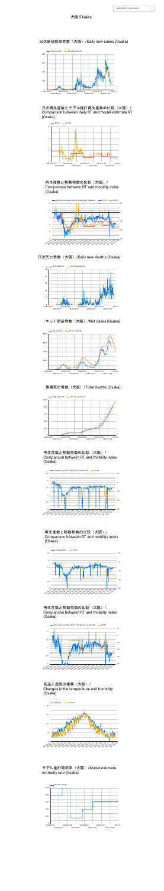



再生産数と移動指数の比較(大阪)/ Comparison between RT and mobility index (Osaka)



日次新規感染者数(大阪)/Daily new cases (Osaka)

日次再生産数とモデル推計再生産数の比較(大阪)/ Comparison between daily RT and model estimate RT (Osaka)



#### ネット感染者数 (大阪) /Net cases (Osaka)

#### 再生産数と移動指数の比較(大阪)/ Comparison between RT and mobility index (Osaka)

#### 日次死亡者数(大阪)/Daily new deaths (Osaka)



再生産数と移動指数の比較(大阪)/ Comparison between RT and mobility index (Osaka)



## 累積死亡者数(大阪)/Total deaths (Osaka)

再生産数と移動指数の比較(大阪)/ Comparison between RT and mobility index (Osaka)







#### 大阪/Osaka

#### 気温と湿度の推移(大阪)/ Changes in the temperature and humidity (Osaka)





#### モデル推計致死率(大阪)/Model estimate mortality rate (Osaka)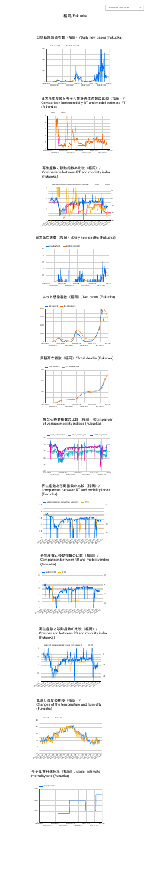





日次死亡者数 (福岡) /Daily new deaths (Fukuoka)



日次新規感染者数(福岡)/Daily new cases (Fukuoka)

再生産数と移動指数の比較(福岡)/ Comparison between RT and mobility index (Fukuoka)

異なる移動指数の比較(福岡)/Compariosn of various mobility indices (Fukuoka)



ネット感染者数 (福岡) /Net cases (Fukuoka)

日次再生産数とモデル推計再生産数の比較(福岡)/ Comparison between daily RT and model estimate RT (Fukuoka)





累積死亡者数(福岡)/Total deaths (Fukuoka)





再生産数と移動指数の比較(福岡)/ Comparison between RT and mobility index (Fukuoka)



再生産数と移動指数の比較(福岡)/ Comparison between R0 and mobility index (Fukuoka)



気温と湿度の推移(福岡)/ Changes of the temperature and humidity (Fukuoka)

#### 福岡/Fukuoka







モデル推計致死率(福岡)/Model estimate mortality rate (Fukuoka)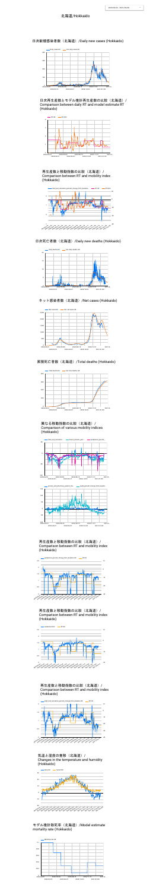





ネット感染者数 (北海道) /Net cases (Hokkaido)





日次死亡者数(北海道)/Daily new deaths (Hokkaido)

日次新規感染者数(北海道)/Daily new cases (Hokkaido)

再生産数と移動指数の比較(北海道)/ Comparison between RT and mobility index (Hokkaido)

日次再生産数とモデル推計再生産数の比較(北海道)/ Comparison between daily RT and model estimate RT (Hokkaido)



累積死亡者数(北海道)/Total deaths (Hokkaido)



#### 再生産数と移動指数の比較(北海道)/ Comparison between RT and mobility index (Hokkaido)

#### 再生産数と移動指数の比較(北海道)/ Comparison between RT and mobility index (Hokkaido)

| 50 | example retail_and_recreation |  | transit_stations_perc |  |  | - workplaces_percent_<br><u> a shekara t</u> |  |  |
|----|-------------------------------|--|-----------------------|--|--|----------------------------------------------|--|--|
|    |                               |  |                       |  |  |                                              |  |  |

#### 異なる移動指数の比較(北海道)/ Comparison of various mobility indices (Hokkaido)





#### 再生産数と移動指数の比較(北海道)/ Comparison between RT and mobility index (Hokkaido)







気温と湿度の推移(北海道)/ Changes in the temperature and humidity (Hokkaido)



#### モデル推計致死率(北海道)/Model estimate mortality rate (Hokkaido)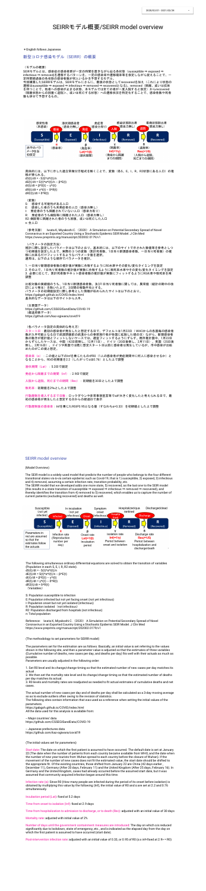## SEIRRモデル概要/SEIRR model overview

\*English follows Japanese.

新型コロナ感染モデル(SEIRR)の概要

(モデルの概要)

SEIRモデルとは、感染症の感染者群が一定の時間を置きながら辿る各状態(susceptible ⇒ exposed ⇒ infectious ⇒ removed)を遷移するパターンを、一定の感染率や遷移確率等を仮定しながら捉えることで、一 定時間経過後の各状態の感染者数が何人いるかを予想するモデル。

今回構築したSEIRRモデルは、SEIRモデルにさらに、最後の状態としてrecoveredを加え(これにより状態の 遷移はsusceptible ⇒ exposed ⇒ infectious ⇒ removed ⇒ recoveredとなる)、removed(隔離、或いは抗体 を持つことで、他者への感染が止まる状態、本モデルでは全ての者が一度入院すると仮定)からrecovered (隔離状態からの回復<退院>、或いは死亡する状態)への遷移状況を特定化することで、感染者数や死者 数も併せて予想するもの。



(参考文献) Iwata K, Miyakoshi C. (2020) A Simulation on Potential Secondary Spread of Novel Coronavirus in an Exported Country Using a Stochastic Epidemic SEIR Model. J Clin Med https://www.preprints.org/manuscript/202002.0179/v1

具体的には、以下に示した連立常微分方程式を解くことで、変数(各S、E、I、R、R2状態にある人口)の推 移が得られる。 dS(t)/dt =  $-S(t)*\alpha*I(t)/n$ dE(t)/dt = S(t)\*α\*I(t)/n – β\*E(t) dI(t)/dt =  $\beta$ \*E(t) – γ\*I(t) dR(t)/dt = γ\*I(t) – δ\*R(t) dR2(t)/dt = δ\*R(t) (変数) S: 感染する可能性がある人口 E: 感染した者のうち未発症者の人口(感染力無し) I: 発症者のうち隔離されていない人口(感染力有り)

比較対象の実績値のうち、1日当り新規感染者数、及び1日当り死者数に関しては、異常値(統計の期中の改 訂により発生)を除いた上で、3日間の移動平均とする。 パラメータの初期値設定に際し参考とした情報が収められたサイトは以下のとおり。 https://gabgoh.github.io/COVID/index.html 基本的なデータは以下のサイトから入手。

- R: 発症者のうち病院等に隔離された人口(感染力無し)
- R2: 病院等に隔離された者のうち回復、或いは死亡した人口

n: 全人口

感染率(α):この値と以下のInfを乗じたものがR0(1人の感染者が発症期間中に何人に感染させるか)と なることから、R0の初期値を2.2(したがってαは0.76)とした上で調整

潜伏期間 (Lat) : 5.2日で固定

発症から隔離までの期間 (Inf) : 2.9日で固定

入院から退院、死亡までの期間(Rec):初期値を30日とした上で調整

(パラメータの設定方法) 推計に際し設定したパラメータは以下のとおり。基本的には、以下のサイトで示された数値等を参考としつ つ初期値を設定した上で、実際の3つの変数(累計死者数、1日当り新規感染者数、一日当り死者数)の推 移に出来るだけフィットするようなパラメータ値を選択。 通常は、以下のような順序でパラメータを推計。

1. 一日当り新規感染者数の推計値が実数に合致するようにR0水準やその変化/変化タイミングを設定 2. その上で、1日当り死者数の推計値が実数に合致するように致死率水準やその変化/変化タイミングを設定 3. 必要に応じて、累計死者数やネット感染者数の推計値が実数にフィットするようにR0水準や致死率を再 調整

(主要国データ)

https://github.com/CSSEGISandData/COVID-19 (都道府県データ) https://github.com/kaz-ogiwara/covid19

(各パラメータ設定の具体的な考え方)

スタート日:最初の感染者が発生したと想定する日で、デフォルトは1月22日( WHOからの各国毎の感染者 数が入手可能となる日で武漢閉鎖前の武漢からの春節旅行者が各国に拡散した頃の日)ながら、新規感染者 数の動きが推計値とフィットしないケースでは、適宜フィットするようにずらす。既存推計国中、1月22日 からずらしたケースは、中国(42日前倒し、12月11日)、ドイツ(20日後倒し、2月11日)、英国(25日後 倒し、2月16日)。ドイツや英国では既に想定スタート日以前に感染者は発生しているが、市中感染が出始 めたのがこの頃と想定。

Reference: Iwata K, Miyakoshi C. (2020) A Simulation on Potential Secondary Spread of Novel Coronavirus in an Exported Country Using a Stochastic Epidemic SEIR Model. J Clin Med https://www.preprints.org/manuscript/202002.0179/v1

致死率:初期値を2%とした上で調整

行動規制を導入するまで日数:ロックダウンや非常事態宣言等でαが大きく変化したと考えられる日で、最 初の感染者が発生したと想定する日からの経過日で表示

行動規制後の感染率:Infを乗じたR0が0.95となる値(すなわちα=0.33)を初期値とした上で調整

#### SEIRR model overview

3. RO levels and mortality rates are readjusted as needed to fit actual estimates of cumulative deaths and net cases.

#### (Model Overview)

The SEIR model is a widely-used model that predicts the number of people who belongs to the four different transitional states vis-à-vis certain epidemic such as Covid-19, that is 1) susceptible, 2) exposed, 3) infectious and 4) removed, assuming a certain infection rate, transition probability, etc.

The SEIRR model that we developed adds one more state, 5) recovered, as the last one to the SEIR model (this results in a state transition of susceptible ⇒ exposed ⇒ infectious ⇒ removed ⇒ recovered), and thereby identifies the transition from 4) removed to 5) recovered, which enables us to capture the number of current patients (excluding recovered) and deaths as well.



Start date: The date on which the first patient is assumed to have occurred. The default date is set at January 22 (The date when the number of patients from each country became available from WHO, and the date when the number of new year tourists from Wuhan spread to each country before the closure of Wuhan). If the movement of the number of new cases does not fit the estimated value, the start date should be shifted to the appropriate fit. Of the existing countries, those shifted from January 22 are China (42 days earlier, December 11), Germany (After 20 days, February 11) and the United Kingdom (After 25 days, February 16). In Germany and the United Kingdom, cases had already occurred before the assumed start date, but it was assumed that community acquired infection began around this time.

Infection rate ( $\alpha$ ): Since R0 (How many people are infected during the period of its onset before isolation) is obtained by multiplying this value by the following (Inf), the initial value of R0 and α are set at 2.2 and 0.76 simultaneously.

Incubation period (Lat): fixed at 5.2 days

Time from onset to isolation (Inf): fixed at 2.9 days

The following simultaneous ordinary differential equations are solved to obtain the transition of variables (Population in each S, E, I, R, R2 state). dS(t)/dt =  $-S(t)*α*I(t)/n$ dE(t)/dt = S(t)\*α\*I(t)/n – β\*E(t) dI(t)/dt =  $\beta$ \*E(t) – γ\*I(t) dR(t)/dt = γ\*l(t) –  $\delta$ \*R(t) dR2(t)/dt =  $δ*R(t)$ (Variables)

Number of days until the government containment measures are introduced: The day on which α is reduced significantly due to lockdown, state of emergency, etc., and is indicated as the elapsed day from the day on which the first patient is assumed to have occurred (start date).

Post-intervention infection rate: adjusted with an initial value of 0.33, or 0.95 of R0 ( $\alpha$  x inf<fixed at 2.9> = R0)

S: Population susceptible to infection E: Population infected but not yet facing onset (not yet infectious) I: Population onset but not yet isolated (infectious) R: Population isolated (not infectious) R2: Population discharged from hospitals (not infectious) n: Total population

(The methodology to set parameters for SEIRR model)

The parameters set for the estimation are as follows. Basically, an initial value is set referring to the values shown in the following site, and then a parameter value is adjusted so that the estimates of three variables (Cumulative number of deaths, new cases per day, and deaths per day) fits well with their actuals as much as possible.

Parameters are usually adjusted in the following order:

1. Set R0 level and its change/change timing so that the estimated number of new cases per day matches its

actual .

2. We then set the mortality rate level and its change/change timing so that the estimated number of deaths per day matches its actual.

The actual number of new cases per day and of deaths per day shall be calculated as a 3-day moving average so as to exclude outliers often owing to the revision of statistics.

The following sites contain information that was used as a reference when setting the initial values of the parameters.

https://gabgoh.github.io/COVID/index.html All the data used for this analysis is available from:

-- Major countries' data https://github.com/CSSEGISandData/COVID-19

-- Japanese prefectures data https://github.com/kaz-ogiwara/covid19

(The initial values set for parameters)

Time from hospitalization to admission to discharge, or to death (Rec): adjusted with an initial value of 30 days

Mortality rate: adjusted with initial value of 2%